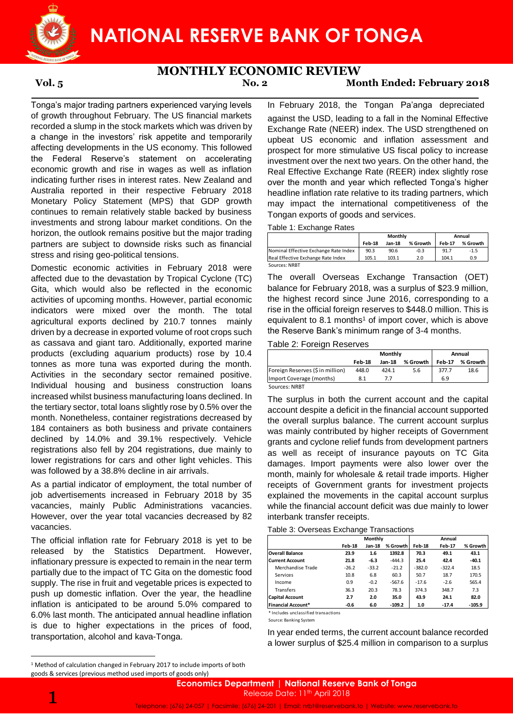

# **MONTHLY ECONOMIC REVIEW**

## **Vol. 5 No. 2 Month Ended: February 2018**

Tonga's major trading partners experienced varying levels of growth throughout February. The US financial markets recorded a slump in the stock markets which was driven by a change in the investors' risk appetite and temporarily affecting developments in the US economy. This followed the Federal Reserve's statement on accelerating economic growth and rise in wages as well as inflation indicating further rises in interest rates. New Zealand and Australia reported in their respective February 2018 Monetary Policy Statement (MPS) that GDP growth continues to remain relatively stable backed by business investments and strong labour market conditions. On the horizon, the outlook remains positive but the major trading partners are subject to downside risks such as financial stress and rising geo-political tensions.

Domestic economic activities in February 2018 were affected due to the devastation by Tropical Cyclone (TC) Gita, which would also be reflected in the economic activities of upcoming months. However, partial economic indicators were mixed over the month. The total agricultural exports declined by 210.7 tonnes mainly driven by a decrease in exported volume of root crops such as cassava and giant taro. Additionally, exported marine products (excluding aquarium products) rose by 10.4 tonnes as more tuna was exported during the month. Activities in the secondary sector remained positive. Individual housing and business construction loans increased whilst business manufacturing loans declined. In the tertiary sector, total loans slightly rose by 0.5% over the month. Nonetheless, container registrations decreased by 184 containers as both business and private containers declined by 14.0% and 39.1% respectively. Vehicle registrations also fell by 204 registrations, due mainly to lower registrations for cars and other light vehicles. This was followed by a 38.8% decline in air arrivals.

As a partial indicator of employment, the total number of job advertisements increased in February 2018 by 35 vacancies, mainly Public Administrations vacancies. However, over the year total vacancies decreased by 82 vacancies.

The official inflation rate for February 2018 is yet to be released by the Statistics Department. However, inflationary pressure is expected to remain in the near term partially due to the impact of TC Gita on the domestic food supply. The rise in fruit and vegetable prices is expected to push up domestic inflation. Over the year, the headline inflation is anticipated to be around 5.0% compared to 6.0% last month. The anticipated annual headline inflation is due to higher expectations in the prices of food, transportation, alcohol and kava-Tonga.

In February 2018, the Tongan Pa'anga depreciated against the USD, leading to a fall in the Nominal Effective Exchange Rate (NEER) index. The USD strengthened on upbeat US economic and inflation assessment and prospect for more stimulative US fiscal policy to increase investment over the next two years. On the other hand, the Real Effective Exchange Rate (REER) index slightly rose over the month and year which reflected Tonga's higher headline inflation rate relative to its trading partners, which may impact the international competitiveness of the Tongan exports of goods and services.

Table 1: Exchange Rates

|                                       | Monthly |        |          | Annual        |          |
|---------------------------------------|---------|--------|----------|---------------|----------|
|                                       | Feb-18  | Jan-18 | % Growth | <b>Feb-17</b> | % Growth |
| Nominal Effective Exchange Rate Index | 90.3    | 90.6   | $-0.3$   | 91.7          | $-1.5$   |
| Real Effective Exchange Rate Index    | 105.1   | 103.1  | 2.0      | 104.1         | 0.9      |
| Sources: NRBT                         |         |        |          |               |          |

The overall Overseas Exchange Transaction (OET) balance for February 2018, was a surplus of \$23.9 million, the highest record since June 2016, corresponding to a rise in the official foreign reserves to \$448.0 million. This is equivalent to  $8.1$  months<sup>1</sup> of import cover, which is above the Reserve Bank's minimum range of 3-4 months.

### Table 2: Foreign Reserves

|                                  | Monthly |               |          | Annual        |          |  |
|----------------------------------|---------|---------------|----------|---------------|----------|--|
|                                  | Feb-18  | <b>Jan-18</b> | % Growth | <b>Feb-17</b> | % Growth |  |
| Foreign Reserves (\$ in million) | 448.0   | 424.1         | 5.6      | 377.7         | 18.6     |  |
| Import Coverage (months)         | 8.1     |               |          | 6.9           |          |  |
| Sources: NRBT                    |         |               |          |               |          |  |

The surplus in both the current account and the capital account despite a deficit in the financial account supported the overall surplus balance. The current account surplus was mainly contributed by higher receipts of Government grants and cyclone relief funds from development partners as well as receipt of insurance payouts on TC Gita damages. Import payments were also lower over the month, mainly for wholesale & retail trade imports. Higher receipts of Government grants for investment projects explained the movements in the capital account surplus while the financial account deficit was due mainly to lower interbank transfer receipts.

|                        |         | Monthly |          |          | Annual        |          |  |
|------------------------|---------|---------|----------|----------|---------------|----------|--|
|                        | Feb-18  | Jan-18  | % Growth | Feb-18   | <b>Feb-17</b> | % Growth |  |
| <b>Overall Balance</b> | 23.9    | 1.6     | 1392.8   | 70.3     | 49.1          | 43.1     |  |
| <b>Current Account</b> | 21.8    | $-6.3$  | $-444.3$ | 25.4     | 42.4          | $-40.1$  |  |
| Merchandise Trade      | $-26.2$ | $-33.2$ | $-21.2$  | $-382.0$ | $-322.4$      | 18.5     |  |
| Services               | 10.8    | 6.8     | 60.3     | 50.7     | 18.7          | 170.5    |  |
| Income                 | 0.9     | $-0.2$  | $-567.6$ | $-17.6$  | $-2.6$        | 565.4    |  |
| Transfers              | 36.3    | 20.3    | 78.3     | 374.3    | 348.7         | 7.3      |  |
| <b>Capital Account</b> | 2.7     | 2.0     | 35.0     | 43.9     | 24.1          | 82.0     |  |
| Financial Account*     | $-0.6$  | 6.0     | $-109.2$ | 1.0      | $-17.4$       | $-105.9$ |  |

\* Includes unclassified transactions

Source: Banking System

In year ended terms, the current account balance recorded a lower surplus of \$25.4 million in comparison to a surplus

**.** 

<sup>&</sup>lt;sup>1</sup> Method of calculation changed in February 2017 to include imports of both goods & services (previous method used imports of goods only)